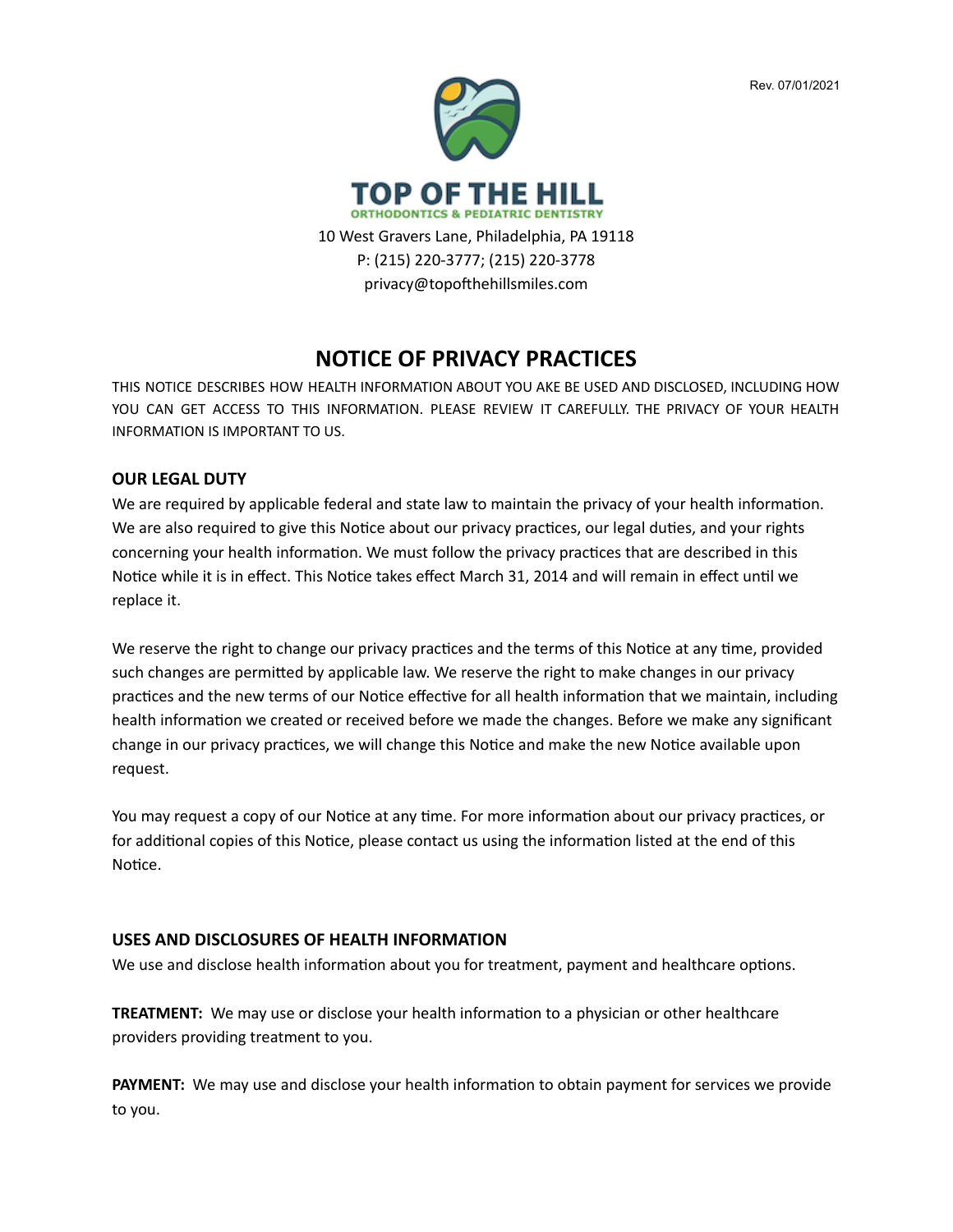



## **NOTICE OF PRIVACY PRACTICES**

THIS NOTICE DESCRIBES HOW HEALTH INFORMATION ABOUT YOU AKE BE USED AND DISCLOSED, INCLUDING HOW YOU CAN GET ACCESS TO THIS INFORMATION. PLEASE REVIEW IT CAREFULLY. THE PRIVACY OF YOUR HEALTH INFORMATION IS IMPORTANT TO US.

## **OUR LEGAL DUTY**

We are required by applicable federal and state law to maintain the privacy of your health information. We are also required to give this Notice about our privacy practices, our legal duties, and your rights concerning your health information. We must follow the privacy practices that are described in this Notice while it is in effect. This Notice takes effect March 31, 2014 and will remain in effect until we replace it.

We reserve the right to change our privacy practices and the terms of this Notice at any time, provided such changes are permitted by applicable law. We reserve the right to make changes in our privacy practices and the new terms of our Notice effective for all health information that we maintain, including health information we created or received before we made the changes. Before we make any significant change in our privacy practices, we will change this Notice and make the new Notice available upon request.

You may request a copy of our Notice at any time. For more information about our privacy practices, or for additional copies of this Notice, please contact us using the information listed at the end of this Notice.

## **USES AND DISCLOSURES OF HEALTH INFORMATION**

We use and disclose health information about you for treatment, payment and healthcare options.

**TREATMENT:** We may use or disclose your health information to a physician or other healthcare providers providing treatment to you.

PAYMENT: We may use and disclose your health information to obtain payment for services we provide to you.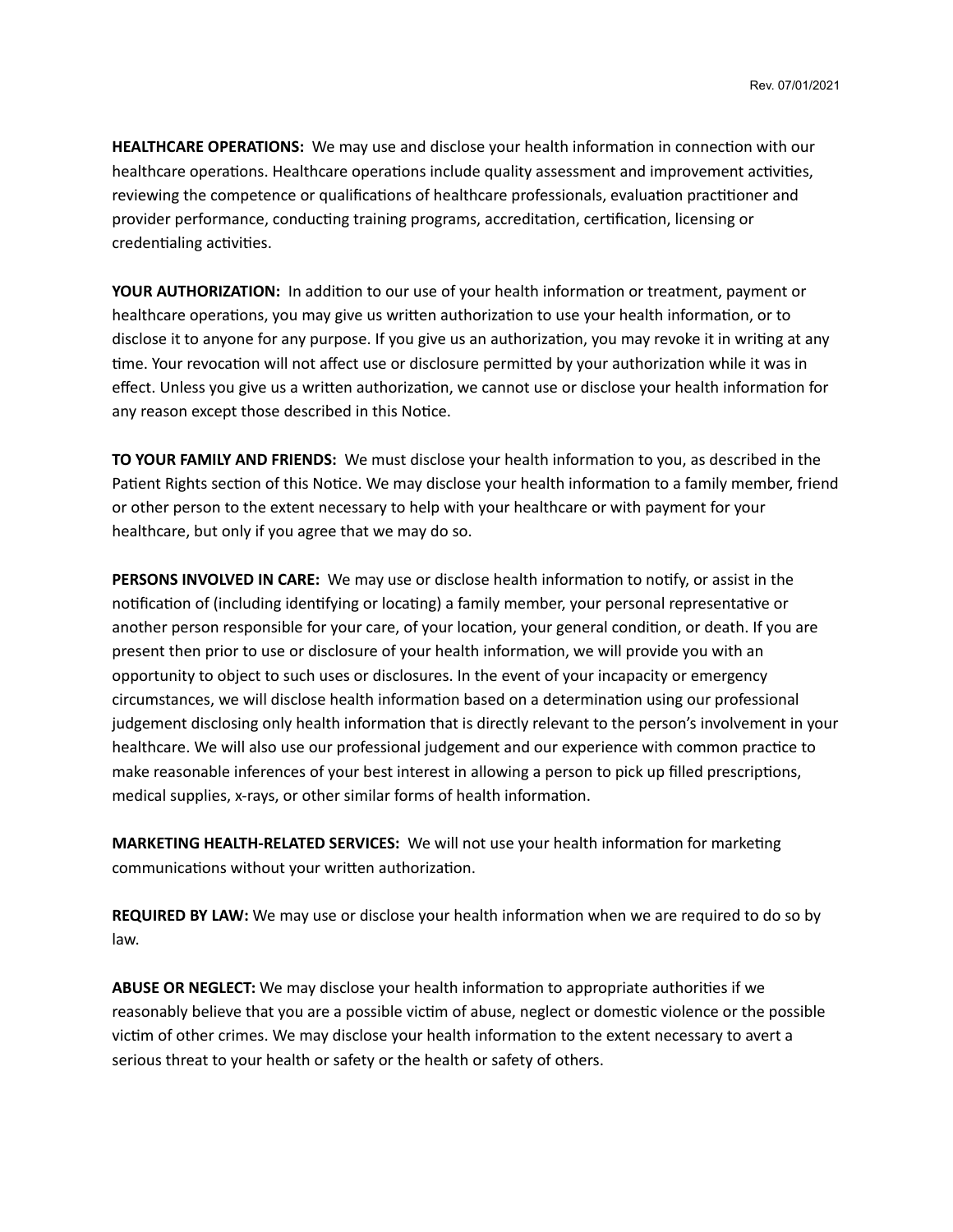**HEALTHCARE OPERATIONS:** We may use and disclose your health information in connection with our healthcare operations. Healthcare operations include quality assessment and improvement activities, reviewing the competence or qualifications of healthcare professionals, evaluation practitioner and provider performance, conducting training programs, accreditation, certification, licensing or credentialing activities.

**YOUR AUTHORIZATION:** In addition to our use of your health information or treatment, payment or healthcare operations, you may give us written authorization to use your health information, or to disclose it to anyone for any purpose. If you give us an authorization, you may revoke it in writing at any time. Your revocation will not affect use or disclosure permitted by your authorization while it was in effect. Unless you give us a written authorization, we cannot use or disclose your health information for any reason except those described in this Notice.

**TO YOUR FAMILY AND FRIENDS:** We must disclose your health information to you, as described in the Patient Rights section of this Notice. We may disclose your health information to a family member, friend or other person to the extent necessary to help with your healthcare or with payment for your healthcare, but only if you agree that we may do so.

**PERSONS INVOLVED IN CARE:** We may use or disclose health information to notify, or assist in the notification of (including identifying or locating) a family member, your personal representative or another person responsible for your care, of your location, your general condition, or death. If you are present then prior to use or disclosure of your health information, we will provide you with an opportunity to object to such uses or disclosures. In the event of your incapacity or emergency circumstances, we will disclose health information based on a determination using our professional judgement disclosing only health information that is directly relevant to the person's involvement in your healthcare. We will also use our professional judgement and our experience with common practice to make reasonable inferences of your best interest in allowing a person to pick up filled prescriptions, medical supplies, x-rays, or other similar forms of health information.

**MARKETING HEALTH-RELATED SERVICES:** We will not use your health information for marketing communications without your written authorization.

**REQUIRED BY LAW:** We may use or disclose your health information when we are required to do so by law.

ABUSE OR NEGLECT: We may disclose your health information to appropriate authorities if we reasonably believe that you are a possible victim of abuse, neglect or domestic violence or the possible victim of other crimes. We may disclose your health information to the extent necessary to avert a serious threat to your health or safety or the health or safety of others.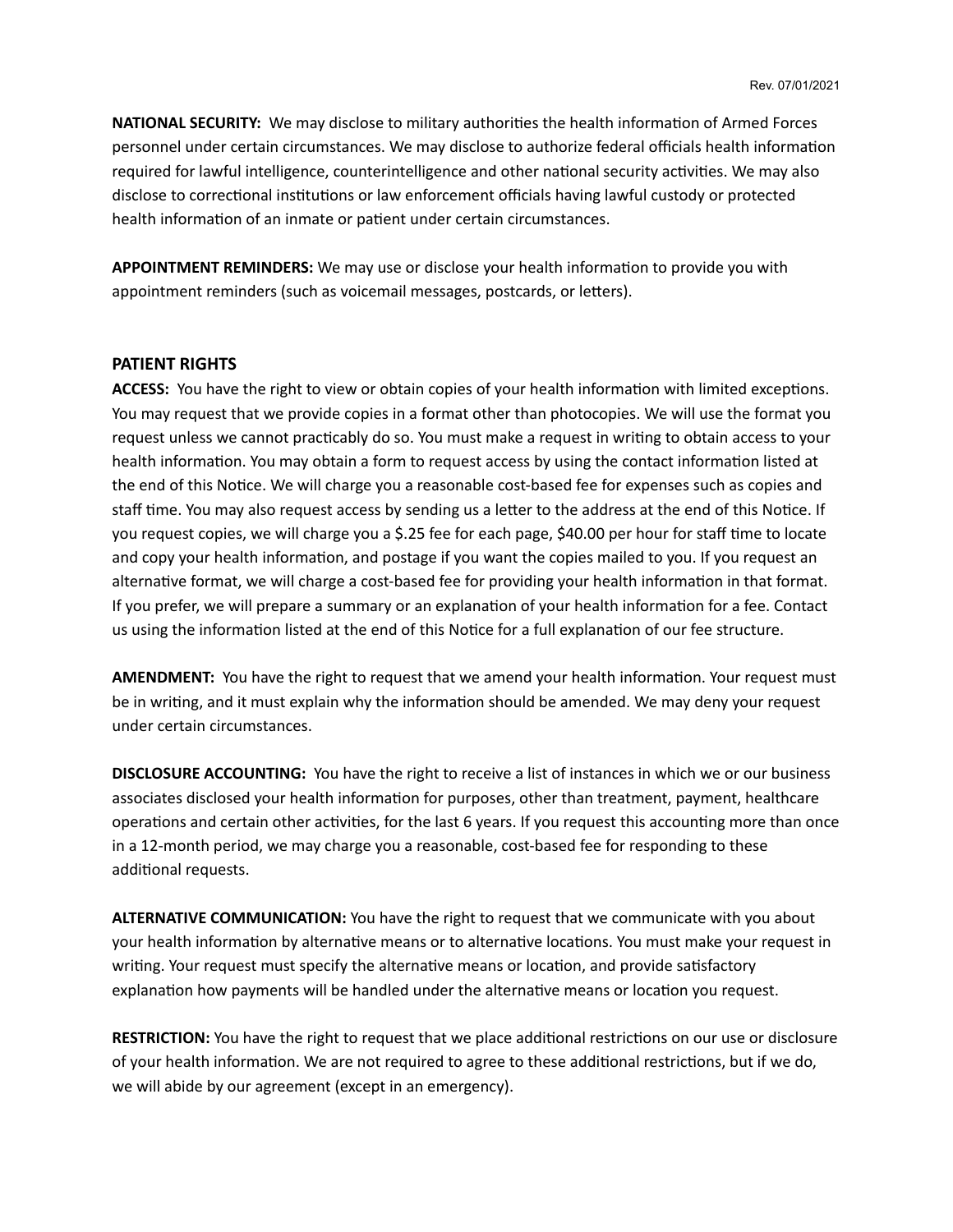**NATIONAL SECURITY:** We may disclose to military authorities the health information of Armed Forces personnel under certain circumstances. We may disclose to authorize federal officials health information required for lawful intelligence, counterintelligence and other national security activities. We may also disclose to correctional institutions or law enforcement officials having lawful custody or protected health information of an inmate or patient under certain circumstances.

**APPOINTMENT REMINDERS:** We may use or disclose your health information to provide you with appointment reminders (such as voicemail messages, postcards, or letters).

## **PATIENT RIGHTS**

**ACCESS:** You have the right to view or obtain copies of your health information with limited exceptions. You may request that we provide copies in a format other than photocopies. We will use the format you request unless we cannot practicably do so. You must make a request in writing to obtain access to your health information. You may obtain a form to request access by using the contact information listed at the end of this Notice. We will charge you a reasonable cost-based fee for expenses such as copies and staff time. You may also request access by sending us a letter to the address at the end of this Notice. If you request copies, we will charge you a \$.25 fee for each page, \$40.00 per hour for staff time to locate and copy your health information, and postage if you want the copies mailed to you. If you request an alternative format, we will charge a cost-based fee for providing your health information in that format. If you prefer, we will prepare a summary or an explanation of your health information for a fee. Contact us using the information listed at the end of this Notice for a full explanation of our fee structure.

**AMENDMENT:** You have the right to request that we amend your health information. Your request must be in writing, and it must explain why the information should be amended. We may deny your request under certain circumstances.

**DISCLOSURE ACCOUNTING:** You have the right to receive a list of instances in which we or our business associates disclosed your health information for purposes, other than treatment, payment, healthcare operations and certain other activities, for the last 6 years. If you request this accounting more than once in a 12-month period, we may charge you a reasonable, cost-based fee for responding to these additional requests.

**ALTERNATIVE COMMUNICATION:** You have the right to request that we communicate with you about your health information by alternative means or to alternative locations. You must make your request in writing. Your request must specify the alternative means or location, and provide satisfactory explanation how payments will be handled under the alternative means or location you request.

**RESTRICTION:** You have the right to request that we place additional restrictions on our use or disclosure of your health information. We are not required to agree to these additional restrictions, but if we do, we will abide by our agreement (except in an emergency).